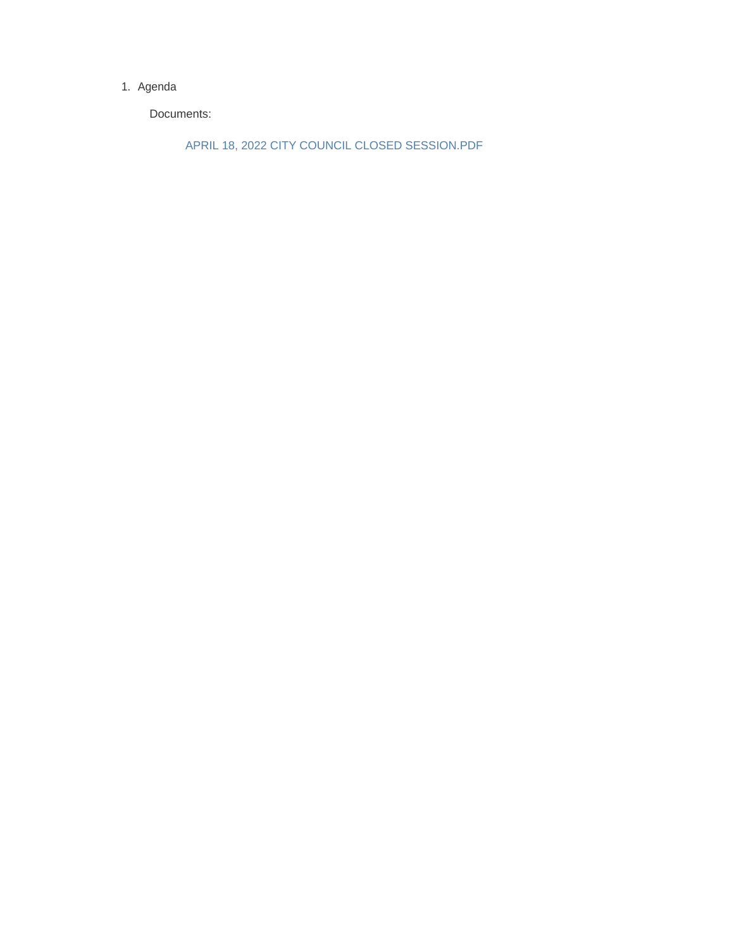#### 1. Agenda

Documents:

APRIL 18, 2022 CITY COUNCIL CLOSED SESSION.PDF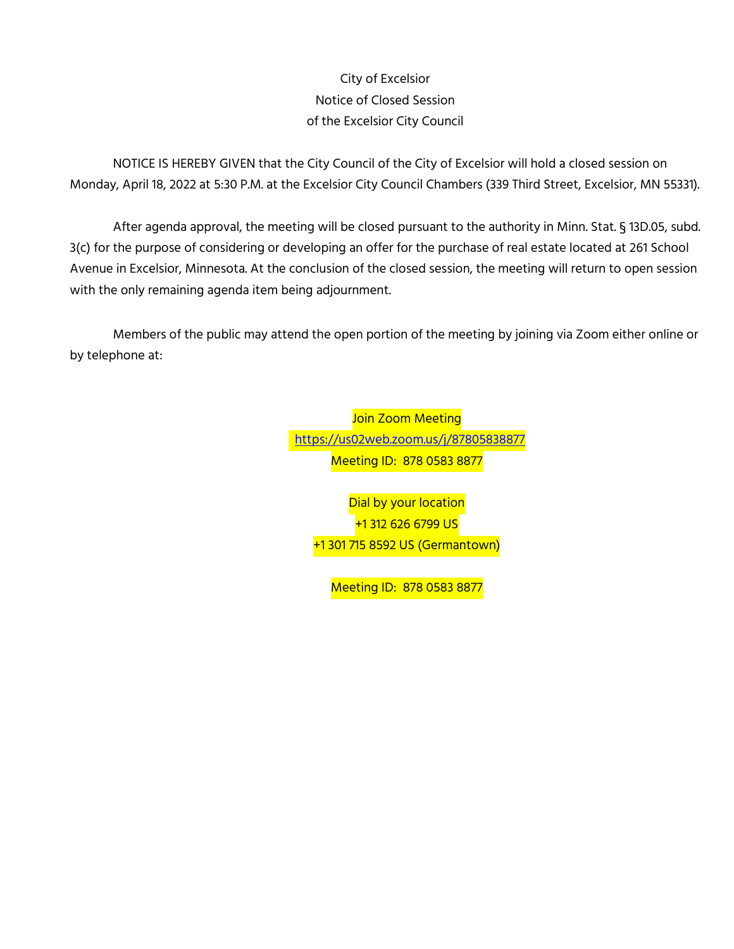# City of Excelsior Notice of Closed Session of the Excelsior City Council

NOTICE IS HEREBY GIVEN that the City Council of the City of Excelsior will hold a closed session on Monday, April 18, 2022 at 5:30 P.M. at the Excelsior City Council Chambers (339 Third Street, Excelsior, MN 55331).

After agenda approval, the meeting will be closed pursuant to the authority in Minn. Stat. § 13D.05, subd. 3(c) for the purpose of considering or developing an offer for the purchase of real estate located at 261 School Avenue in Excelsior, Minnesota. At the conclusion of the closed session, the meeting will return to open session with the only remaining agenda item being adjournment.

Members of the public may attend the open portion of the meeting by joining via Zoom either online or by telephone at:

> **Join Zoom Meeting** <https://us02web.zoom.us/j/8>7805838877 Meeting ID: 878 0583 8877

Dial by your location +1 312 626 6799 US +1 301 715 8592 US (Germantown)

Meeting ID: 878 0583 8877